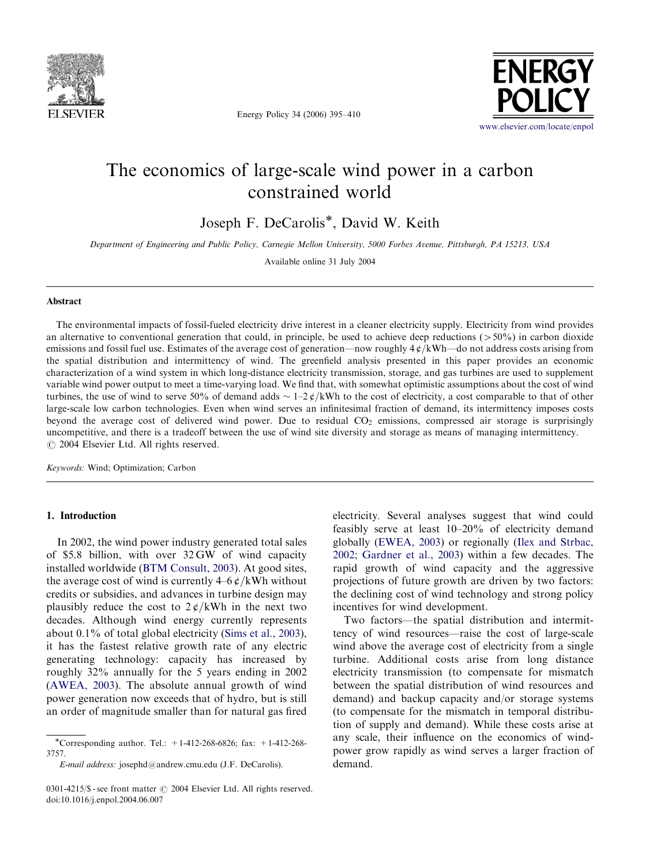

Energy Policy 34 (2006) 395–410



# The economics of large-scale wind power in a carbon constrained world

Joseph F. DeCarolis\*, David W. Keith

Department of Engineering and Public Policy, Carnegie Mellon University, 5000 Forbes Avenue, Pittsburgh, PA 15213, USA

Available online 31 July 2004

# Abstract

The environmental impacts of fossil-fueled electricity drive interest in a cleaner electricity supply. Electricity from wind provides an alternative to conventional generation that could, in principle, be used to achieve deep reductions ( $>50\%$ ) in carbon dioxide emissions and fossil fuel use. Estimates of the average cost of generation—now roughly  $4 \ell/kWh$ —do not address costs arising from the spatial distribution and intermittency of wind. The greenfield analysis presented in this paper provides an economic characterization of a wind system in which long-distance electricity transmission, storage, and gas turbines are used to supplement variable wind power output to meet a time-varying load. We find that, with somewhat optimistic assumptions about the cost of wind turbines, the use of wind to serve 50% of demand adds  $\sim 1-2 \frac{\cancel{e}}{kWh}$  to the cost of electricity, a cost comparable to that of other large-scale low carbon technologies. Even when wind serves an infinitesimal fraction of demand, its intermittency imposes costs beyond the average cost of delivered wind power. Due to residual  $CO<sub>2</sub>$  emissions, compressed air storage is surprisingly uncompetitive, and there is a tradeoff between the use of wind site diversity and storage as means of managing intermittency.  $\odot$  2004 Elsevier Ltd. All rights reserved.

Keywords: Wind; Optimization; Carbon

# 1. Introduction

In 2002, the wind power industry generated total sales of \$5.8 billion, with over 32 GW of wind capacity installed worldwide ([BTM Consult, 2003](#page-14-0)). At good sites, the average cost of wind is currently  $4-6 \notin \ell$ Wh without credits or subsidies, and advances in turbine design may plausibly reduce the cost to  $2 \frac{\phi}{kWh}$  in the next two decades. Although wind energy currently represents about 0.1% of total global electricity [\(Sims et al., 2003\)](#page-15-0), it has the fastest relative growth rate of any electric generating technology: capacity has increased by roughly 32% annually for the 5 years ending in 2002 ([AWEA, 2003](#page-14-0)). The absolute annual growth of wind power generation now exceeds that of hydro, but is still an order of magnitude smaller than for natural gas fired

E-mail address: josephd@andrew.cmu.edu (J.F. DeCarolis).

electricity. Several analyses suggest that wind could feasibly serve at least 10–20% of electricity demand globally ([EWEA, 2003](#page-14-0)) or regionally ([Ilex and Strbac,](#page-14-0) [2002; Gardner et al., 2003\)](#page-14-0) within a few decades. The rapid growth of wind capacity and the aggressive projections of future growth are driven by two factors: the declining cost of wind technology and strong policy incentives for wind development.

Two factors—the spatial distribution and intermittency of wind resources—raise the cost of large-scale wind above the average cost of electricity from a single turbine. Additional costs arise from long distance electricity transmission (to compensate for mismatch between the spatial distribution of wind resources and demand) and backup capacity and/or storage systems (to compensate for the mismatch in temporal distribution of supply and demand). While these costs arise at any scale, their influence on the economics of windpower grow rapidly as wind serves a larger fraction of demand.

<sup>\*</sup>Corresponding author. Tel.:  $+1-412-268-6826$ ; fax:  $+1-412-268-6826$ 3757.

<sup>0301-4215/\$ -</sup> see front matter  $\odot$  2004 Elsevier Ltd. All rights reserved. doi:10.1016/j.enpol.2004.06.007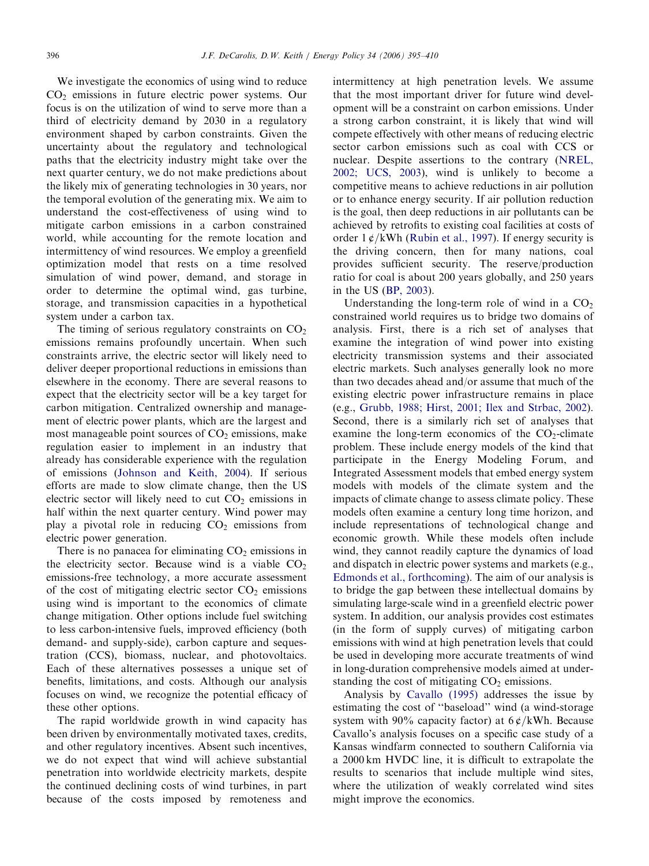We investigate the economics of using wind to reduce  $CO<sub>2</sub>$  emissions in future electric power systems. Our focus is on the utilization of wind to serve more than a third of electricity demand by 2030 in a regulatory environment shaped by carbon constraints. Given the uncertainty about the regulatory and technological paths that the electricity industry might take over the next quarter century, we do not make predictions about the likely mix of generating technologies in 30 years, nor the temporal evolution of the generating mix. We aim to understand the cost-effectiveness of using wind to mitigate carbon emissions in a carbon constrained world, while accounting for the remote location and intermittency of wind resources. We employ a greenfield optimization model that rests on a time resolved simulation of wind power, demand, and storage in order to determine the optimal wind, gas turbine, storage, and transmission capacities in a hypothetical system under a carbon tax.

The timing of serious regulatory constraints on  $CO<sub>2</sub>$ emissions remains profoundly uncertain. When such constraints arrive, the electric sector will likely need to deliver deeper proportional reductions in emissions than elsewhere in the economy. There are several reasons to expect that the electricity sector will be a key target for carbon mitigation. Centralized ownership and management of electric power plants, which are the largest and most manageable point sources of  $CO<sub>2</sub>$  emissions, make regulation easier to implement in an industry that already has considerable experience with the regulation of emissions [\(Johnson and Keith, 2004\)](#page-14-0). If serious efforts are made to slow climate change, then the US electric sector will likely need to cut  $CO<sub>2</sub>$  emissions in half within the next quarter century. Wind power may play a pivotal role in reducing  $CO<sub>2</sub>$  emissions from electric power generation.

There is no panacea for eliminating  $CO<sub>2</sub>$  emissions in the electricity sector. Because wind is a viable  $CO<sub>2</sub>$ emissions-free technology, a more accurate assessment of the cost of mitigating electric sector  $CO<sub>2</sub>$  emissions using wind is important to the economics of climate change mitigation. Other options include fuel switching to less carbon-intensive fuels, improved efficiency (both demand- and supply-side), carbon capture and sequestration (CCS), biomass, nuclear, and photovoltaics. Each of these alternatives possesses a unique set of benefits, limitations, and costs. Although our analysis focuses on wind, we recognize the potential efficacy of these other options.

The rapid worldwide growth in wind capacity has been driven by environmentally motivated taxes, credits, and other regulatory incentives. Absent such incentives, we do not expect that wind will achieve substantial penetration into worldwide electricity markets, despite the continued declining costs of wind turbines, in part because of the costs imposed by remoteness and

intermittency at high penetration levels. We assume that the most important driver for future wind development will be a constraint on carbon emissions. Under a strong carbon constraint, it is likely that wind will compete effectively with other means of reducing electric sector carbon emissions such as coal with CCS or nuclear. Despite assertions to the contrary ([NREL,](#page-15-0) [2002; UCS, 2003\)](#page-15-0), wind is unlikely to become a competitive means to achieve reductions in air pollution or to enhance energy security. If air pollution reduction is the goal, then deep reductions in air pollutants can be achieved by retrofits to existing coal facilities at costs of order  $1 \phi$ /kWh ([Rubin et al., 1997](#page-15-0)). If energy security is the driving concern, then for many nations, coal provides sufficient security. The reserve/production ratio for coal is about 200 years globally, and 250 years in the US ([BP, 2003\)](#page-14-0).

Understanding the long-term role of wind in a  $CO<sub>2</sub>$ constrained world requires us to bridge two domains of analysis. First, there is a rich set of analyses that examine the integration of wind power into existing electricity transmission systems and their associated electric markets. Such analyses generally look no more than two decades ahead and/or assume that much of the existing electric power infrastructure remains in place (e.g., [Grubb, 1988; Hirst, 2001; Ilex and Strbac, 2002\)](#page-14-0). Second, there is a similarly rich set of analyses that examine the long-term economics of the  $CO<sub>2</sub>$ -climate problem. These include energy models of the kind that participate in the Energy Modeling Forum, and Integrated Assessment models that embed energy system models with models of the climate system and the impacts of climate change to assess climate policy. These models often examine a century long time horizon, and include representations of technological change and economic growth. While these models often include wind, they cannot readily capture the dynamics of load and dispatch in electric power systems and markets (e.g., [Edmonds et al., forthcoming](#page-14-0)). The aim of our analysis is to bridge the gap between these intellectual domains by simulating large-scale wind in a greenfield electric power system. In addition, our analysis provides cost estimates (in the form of supply curves) of mitigating carbon emissions with wind at high penetration levels that could be used in developing more accurate treatments of wind in long-duration comprehensive models aimed at understanding the cost of mitigating  $CO<sub>2</sub>$  emissions.

Analysis by [Cavallo \(1995\)](#page-14-0) addresses the issue by estimating the cost of ''baseload'' wind (a wind-storage system with 90% capacity factor) at  $6 \phi$ /kWh. Because Cavallo's analysis focuses on a specific case study of a Kansas windfarm connected to southern California via a 2000 km HVDC line, it is difficult to extrapolate the results to scenarios that include multiple wind sites, where the utilization of weakly correlated wind sites might improve the economics.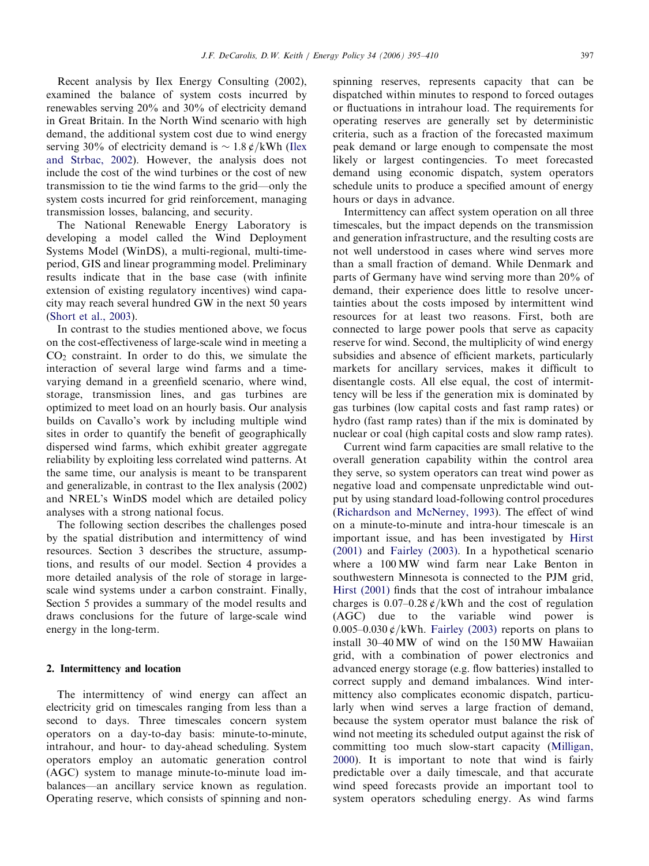Recent analysis by Ilex Energy Consulting (2002), examined the balance of system costs incurred by renewables serving 20% and 30% of electricity demand in Great Britain. In the North Wind scenario with high demand, the additional system cost due to wind energy serving 30% of electricity demand is  $\sim 1.8 \frac{\epsilon}{kWh}$  ([Ilex](#page-14-0) [and Strbac, 2002\)](#page-14-0). However, the analysis does not include the cost of the wind turbines or the cost of new transmission to tie the wind farms to the grid—only the system costs incurred for grid reinforcement, managing transmission losses, balancing, and security.

The National Renewable Energy Laboratory is developing a model called the Wind Deployment Systems Model (WinDS), a multi-regional, multi-timeperiod, GIS and linear programming model. Preliminary results indicate that in the base case (with infinite extension of existing regulatory incentives) wind capacity may reach several hundred GW in the next 50 years ([Short et al., 2003](#page-15-0)).

In contrast to the studies mentioned above, we focus on the cost-effectiveness of large-scale wind in meeting a  $CO<sub>2</sub>$  constraint. In order to do this, we simulate the interaction of several large wind farms and a timevarying demand in a greenfield scenario, where wind, storage, transmission lines, and gas turbines are optimized to meet load on an hourly basis. Our analysis builds on Cavallo's work by including multiple wind sites in order to quantify the benefit of geographically dispersed wind farms, which exhibit greater aggregate reliability by exploiting less correlated wind patterns. At the same time, our analysis is meant to be transparent and generalizable, in contrast to the Ilex analysis (2002) and NREL's WinDS model which are detailed policy analyses with a strong national focus.

The following section describes the challenges posed by the spatial distribution and intermittency of wind resources. Section 3 describes the structure, assumptions, and results of our model. Section 4 provides a more detailed analysis of the role of storage in largescale wind systems under a carbon constraint. Finally, Section 5 provides a summary of the model results and draws conclusions for the future of large-scale wind energy in the long-term.

#### 2. Intermittency and location

The intermittency of wind energy can affect an electricity grid on timescales ranging from less than a second to days. Three timescales concern system operators on a day-to-day basis: minute-to-minute, intrahour, and hour- to day-ahead scheduling. System operators employ an automatic generation control (AGC) system to manage minute-to-minute load imbalances—an ancillary service known as regulation. Operating reserve, which consists of spinning and nonspinning reserves, represents capacity that can be dispatched within minutes to respond to forced outages or fluctuations in intrahour load. The requirements for operating reserves are generally set by deterministic criteria, such as a fraction of the forecasted maximum peak demand or large enough to compensate the most likely or largest contingencies. To meet forecasted demand using economic dispatch, system operators schedule units to produce a specified amount of energy hours or days in advance.

Intermittency can affect system operation on all three timescales, but the impact depends on the transmission and generation infrastructure, and the resulting costs are not well understood in cases where wind serves more than a small fraction of demand. While Denmark and parts of Germany have wind serving more than 20% of demand, their experience does little to resolve uncertainties about the costs imposed by intermittent wind resources for at least two reasons. First, both are connected to large power pools that serve as capacity reserve for wind. Second, the multiplicity of wind energy subsidies and absence of efficient markets, particularly markets for ancillary services, makes it difficult to disentangle costs. All else equal, the cost of intermittency will be less if the generation mix is dominated by gas turbines (low capital costs and fast ramp rates) or hydro (fast ramp rates) than if the mix is dominated by nuclear or coal (high capital costs and slow ramp rates).

Current wind farm capacities are small relative to the overall generation capability within the control area they serve, so system operators can treat wind power as negative load and compensate unpredictable wind output by using standard load-following control procedures ([Richardson and McNerney, 1993\)](#page-15-0). The effect of wind on a minute-to-minute and intra-hour timescale is an important issue, and has been investigated by [Hirst](#page-14-0) [\(2001\)](#page-14-0) and [Fairley \(2003\).](#page-14-0) In a hypothetical scenario where a 100 MW wind farm near Lake Benton in southwestern Minnesota is connected to the PJM grid, [Hirst \(2001\)](#page-14-0) finds that the cost of intrahour imbalance charges is  $0.07-0.28 \ell/kWh$  and the cost of regulation (AGC) due to the variable wind power is  $0.005-0.030 \ell/kWh$ . [Fairley \(2003\)](#page-14-0) reports on plans to install 30–40 MW of wind on the 150 MW Hawaiian grid, with a combination of power electronics and advanced energy storage (e.g. flow batteries) installed to correct supply and demand imbalances. Wind intermittency also complicates economic dispatch, particularly when wind serves a large fraction of demand, because the system operator must balance the risk of wind not meeting its scheduled output against the risk of committing too much slow-start capacity ([Milligan,](#page-14-0) [2000](#page-14-0)). It is important to note that wind is fairly predictable over a daily timescale, and that accurate wind speed forecasts provide an important tool to system operators scheduling energy. As wind farms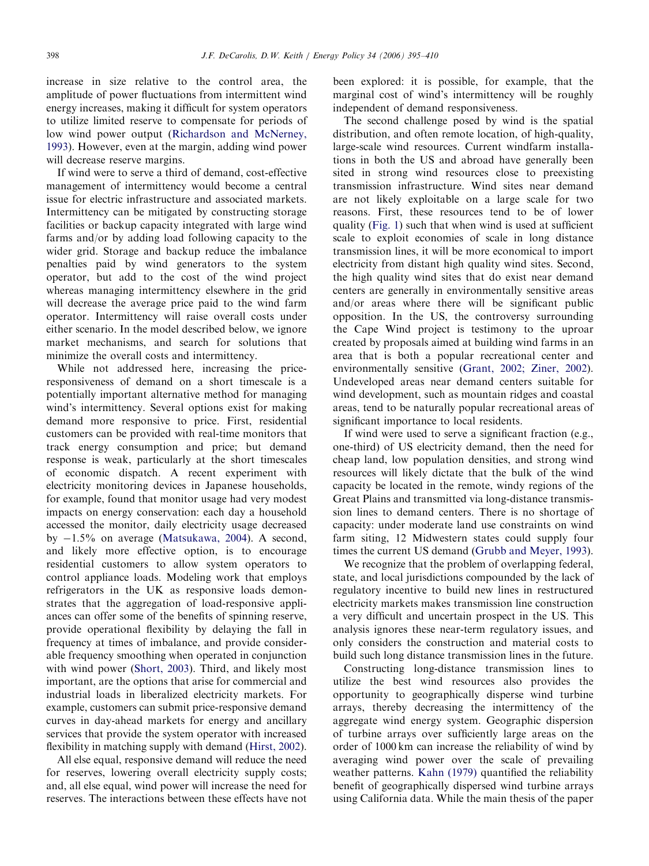increase in size relative to the control area, the amplitude of power fluctuations from intermittent wind energy increases, making it difficult for system operators to utilize limited reserve to compensate for periods of low wind power output ([Richardson and McNerney,](#page-15-0) [1993](#page-15-0)). However, even at the margin, adding wind power will decrease reserve margins.

If wind were to serve a third of demand, cost-effective management of intermittency would become a central issue for electric infrastructure and associated markets. Intermittency can be mitigated by constructing storage facilities or backup capacity integrated with large wind farms and/or by adding load following capacity to the wider grid. Storage and backup reduce the imbalance penalties paid by wind generators to the system operator, but add to the cost of the wind project whereas managing intermittency elsewhere in the grid will decrease the average price paid to the wind farm operator. Intermittency will raise overall costs under either scenario. In the model described below, we ignore market mechanisms, and search for solutions that minimize the overall costs and intermittency.

While not addressed here, increasing the priceresponsiveness of demand on a short timescale is a potentially important alternative method for managing wind's intermittency. Several options exist for making demand more responsive to price. First, residential customers can be provided with real-time monitors that track energy consumption and price; but demand response is weak, particularly at the short timescales of economic dispatch. A recent experiment with electricity monitoring devices in Japanese households, for example, found that monitor usage had very modest impacts on energy conservation: each day a household accessed the monitor, daily electricity usage decreased by  $-1.5\%$  on average [\(Matsukawa, 2004\)](#page-14-0). A second, and likely more effective option, is to encourage residential customers to allow system operators to control appliance loads. Modeling work that employs refrigerators in the UK as responsive loads demonstrates that the aggregation of load-responsive appliances can offer some of the benefits of spinning reserve, provide operational flexibility by delaying the fall in frequency at times of imbalance, and provide considerable frequency smoothing when operated in conjunction with wind power [\(Short, 2003\)](#page-15-0). Third, and likely most important, are the options that arise for commercial and industrial loads in liberalized electricity markets. For example, customers can submit price-responsive demand curves in day-ahead markets for energy and ancillary services that provide the system operator with increased flexibility in matching supply with demand ([Hirst, 2002\)](#page-14-0).

All else equal, responsive demand will reduce the need for reserves, lowering overall electricity supply costs; and, all else equal, wind power will increase the need for reserves. The interactions between these effects have not

been explored: it is possible, for example, that the marginal cost of wind's intermittency will be roughly independent of demand responsiveness.

The second challenge posed by wind is the spatial distribution, and often remote location, of high-quality, large-scale wind resources. Current windfarm installations in both the US and abroad have generally been sited in strong wind resources close to preexisting transmission infrastructure. Wind sites near demand are not likely exploitable on a large scale for two reasons. First, these resources tend to be of lower quality [\(Fig. 1](#page-4-0)) such that when wind is used at sufficient scale to exploit economies of scale in long distance transmission lines, it will be more economical to import electricity from distant high quality wind sites. Second, the high quality wind sites that do exist near demand centers are generally in environmentally sensitive areas and/or areas where there will be significant public opposition. In the US, the controversy surrounding the Cape Wind project is testimony to the uproar created by proposals aimed at building wind farms in an area that is both a popular recreational center and environmentally sensitive ([Grant, 2002; Ziner, 2002\)](#page-14-0). Undeveloped areas near demand centers suitable for wind development, such as mountain ridges and coastal areas, tend to be naturally popular recreational areas of significant importance to local residents.

If wind were used to serve a significant fraction (e.g., one-third) of US electricity demand, then the need for cheap land, low population densities, and strong wind resources will likely dictate that the bulk of the wind capacity be located in the remote, windy regions of the Great Plains and transmitted via long-distance transmission lines to demand centers. There is no shortage of capacity: under moderate land use constraints on wind farm siting, 12 Midwestern states could supply four times the current US demand [\(Grubb and Meyer, 1993\)](#page-14-0).

We recognize that the problem of overlapping federal, state, and local jurisdictions compounded by the lack of regulatory incentive to build new lines in restructured electricity markets makes transmission line construction a very difficult and uncertain prospect in the US. This analysis ignores these near-term regulatory issues, and only considers the construction and material costs to build such long distance transmission lines in the future.

Constructing long-distance transmission lines to utilize the best wind resources also provides the opportunity to geographically disperse wind turbine arrays, thereby decreasing the intermittency of the aggregate wind energy system. Geographic dispersion of turbine arrays over sufficiently large areas on the order of 1000 km can increase the reliability of wind by averaging wind power over the scale of prevailing weather patterns. [Kahn \(1979\)](#page-14-0) quantified the reliability benefit of geographically dispersed wind turbine arrays using California data. While the main thesis of the paper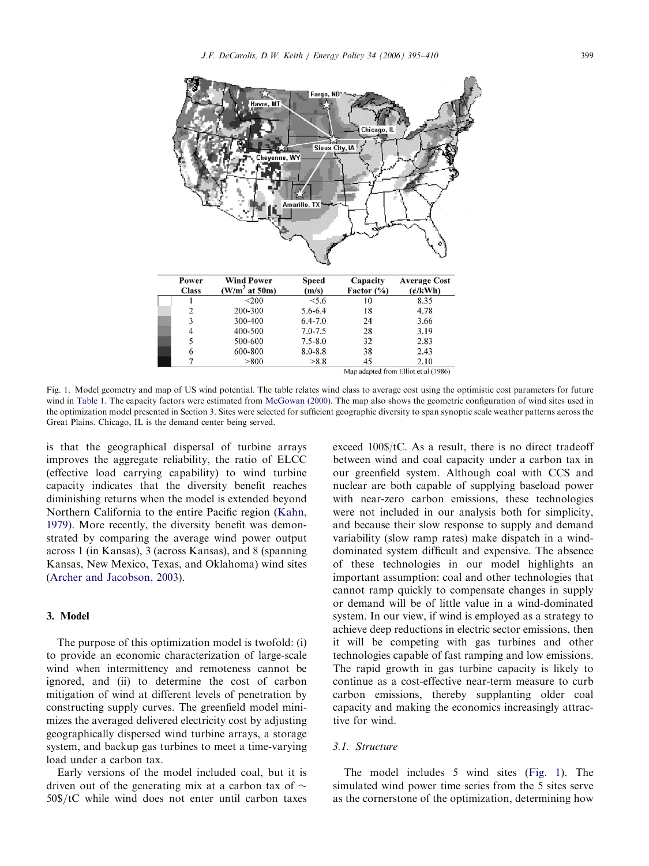<span id="page-4-0"></span>

Fig. 1. Model geometry and map of US wind potential. The table relates wind class to average cost using the optimistic cost parameters for future wind in [Table 1.](#page-5-0) The capacity factors were estimated from [McGowan \(2000\)](#page-14-0). The map also shows the geometric configuration of wind sites used in the optimization model presented in Section 3. Sites were selected for sufficient geographic diversity to span synoptic scale weather patterns across the Great Plains. Chicago, IL is the demand center being served.

is that the geographical dispersal of turbine arrays improves the aggregate reliability, the ratio of ELCC (effective load carrying capability) to wind turbine capacity indicates that the diversity benefit reaches diminishing returns when the model is extended beyond Northern California to the entire Pacific region ([Kahn,](#page-14-0) [1979](#page-14-0)). More recently, the diversity benefit was demonstrated by comparing the average wind power output across 1 (in Kansas), 3 (across Kansas), and 8 (spanning Kansas, New Mexico, Texas, and Oklahoma) wind sites ([Archer and Jacobson, 2003\)](#page-14-0).

# 3. Model

The purpose of this optimization model is twofold: (i) to provide an economic characterization of large-scale wind when intermittency and remoteness cannot be ignored, and (ii) to determine the cost of carbon mitigation of wind at different levels of penetration by constructing supply curves. The greenfield model minimizes the averaged delivered electricity cost by adjusting geographically dispersed wind turbine arrays, a storage system, and backup gas turbines to meet a time-varying load under a carbon tax.

Early versions of the model included coal, but it is driven out of the generating mix at a carbon tax of  $\sim$  $50\$/tC$  while wind does not enter until carbon taxes exceed 100\$/tC. As a result, there is no direct tradeoff between wind and coal capacity under a carbon tax in our greenfield system. Although coal with CCS and nuclear are both capable of supplying baseload power with near-zero carbon emissions, these technologies were not included in our analysis both for simplicity, and because their slow response to supply and demand variability (slow ramprates) make dispatch in a winddominated system difficult and expensive. The absence of these technologies in our model highlights an important assumption: coal and other technologies that cannot ramp quickly to compensate changes in supply or demand will be of little value in a wind-dominated system. In our view, if wind is employed as a strategy to achieve deep reductions in electric sector emissions, then it will be competing with gas turbines and other technologies capable of fast ramping and low emissions. The rapid growth in gas turbine capacity is likely to continue as a cost-effective near-term measure to curb carbon emissions, thereby supplanting older coal capacity and making the economics increasingly attractive for wind.

# 3.1. Structure

The model includes 5 wind sites (Fig. 1). The simulated wind power time series from the 5 sites serve as the cornerstone of the optimization, determining how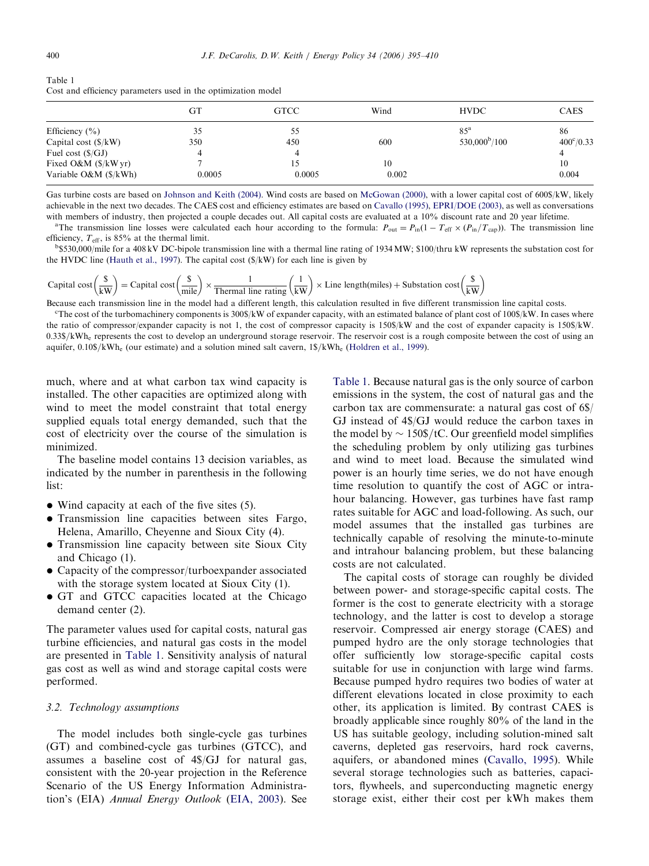<span id="page-5-0"></span>

| Table 1 |  |  |                                                               |  |
|---------|--|--|---------------------------------------------------------------|--|
|         |  |  | Cost and efficiency parameters used in the optimization model |  |

|                               | GТ     | <b>GTCC</b> | Wind  | <b>HVDC</b>           | <b>CAES</b>        |
|-------------------------------|--------|-------------|-------|-----------------------|--------------------|
| Efficiency $(\% )$            | 35     | 55          |       | 85 <sup>a</sup>       | 86                 |
| Capital cost $(\frac{S}{kW})$ | 350    | 450         | 600   | $530,000^{\rm b}/100$ | $400^{\circ}/0.33$ |
| Fuel cost $(\frac{S}{GI})$    |        |             |       |                       |                    |
| Fixed O&M $(S/kWyr)$          |        | 15          | 10    |                       | 10                 |
| Variable O&M (\$/kWh)         | 0.0005 | 0.0005      | 0.002 |                       | 0.004              |

Gas turbine costs are based on [Johnson and Keith \(2004\).](#page-14-0) Wind costs are based on [McGowan \(2000\),](#page-14-0) with a lower capital cost of 600\$/kW, likely achievable in the next two decades. The CAES cost and efficiency estimates are based on [Cavallo \(1995\),](#page-14-0) [EPRI/DOE \(2003\)](#page-14-0), as well as conversations with members of industry, then projected a couple decades out. All capital costs are evaluated at a 10% discount rate and 20 year lifetime.

<sup>a</sup>The transmission line losses were calculated each hour according to the formula:  $P_{\text{out}} = P_{\text{in}}(1 - T_{\text{eff}} \times (P_{\text{in}}/T_{\text{can}}))$ . The transmission line efficiency,  $T_{\text{eff}}$ , is 85% at the thermal limit.

 $b$ \$530,000/mile for a 408 kV DC-bipole transmission line with a thermal line rating of 1934 MW; \$100/thru kW represents the substation cost for the HVDC line [\(Hauth et al., 1997\)](#page-14-0). The capital cost  $(\frac{C}{K}W)$  for each line is given by

Capital cost 
$$
\left(\frac{\$}{kW}\right)
$$
 = Capital cost  $\left(\frac{\$}{mile}\right) \times \frac{1}{Thermal line rating} \left(\frac{1}{kW}\right) \times Line length(miles) + Substation cost  $\left(\frac{\$}{kW}\right)$$ 

Because each transmission line in the model had a different length, this calculation resulted in five different transmission line capital costs.

<sup>c</sup>The cost of the turbomachinery components is 300\$/kW of expander capacity, with an estimated balance of plant cost of 100\$/kW. In cases where the ratio of compressor/expander capacity is not 1, the cost of compressor capacity is 150\$/kW and the cost of expander capacity is 150\$/kW.  $0.33\frac{kWh_e}{}$  represents the cost to develop an underground storage reservoir. The reservoir cost is a rough composite between the cost of using an aquifer,  $0.10\$  /kWh<sub>e</sub> (our estimate) and a solution mined salt cavern,  $1\$  /kWh<sub>e</sub> [\(Holdren et al., 1999](#page-14-0)).

much, where and at what carbon tax wind capacity is installed. The other capacities are optimized along with wind to meet the model constraint that total energy supplied equals total energy demanded, such that the cost of electricity over the course of the simulation is minimized.

The baseline model contains 13 decision variables, as indicated by the number in parenthesis in the following list:

- Wind capacity at each of the five sites (5).
- Transmission line capacities between sites Fargo, Helena, Amarillo, Cheyenne and Sioux City (4).
- Transmission line capacity between site Sioux City and Chicago (1).
- Capacity of the compressor/turboexpander associated with the storage system located at Sioux City (1).
- GT and GTCC capacities located at the Chicago demand center (2).

The parameter values used for capital costs, natural gas turbine efficiencies, and natural gas costs in the model are presented in Table 1. Sensitivity analysis of natural gas cost as well as wind and storage capital costs were performed.

# 3.2. Technology assumptions

The model includes both single-cycle gas turbines (GT) and combined-cycle gas turbines (GTCC), and assumes a baseline cost of 4\$/GJ for natural gas, consistent with the 20-year projection in the Reference Scenario of the US Energy Information Administration's (EIA) Annual Energy Outlook [\(EIA, 2003\)](#page-14-0). See

Table 1. Because natural gas is the only source of carbon emissions in the system, the cost of natural gas and the carbon tax are commensurate: a natural gas cost of 6\$/ GJ instead of 4\$/GJ would reduce the carbon taxes in the model by  $\sim 150\frac{\pi}{c}$ . Our greenfield model simplifies the scheduling problem by only utilizing gas turbines and wind to meet load. Because the simulated wind power is an hourly time series, we do not have enough time resolution to quantify the cost of AGC or intrahour balancing. However, gas turbines have fast ramp rates suitable for AGC and load-following. As such, our model assumes that the installed gas turbines are technically capable of resolving the minute-to-minute and intrahour balancing problem, but these balancing costs are not calculated.

The capital costs of storage can roughly be divided between power- and storage-specific capital costs. The former is the cost to generate electricity with a storage technology, and the latter is cost to develop a storage reservoir. Compressed air energy storage (CAES) and pumped hydro are the only storage technologies that offer sufficiently low storage-specific capital costs suitable for use in conjunction with large wind farms. Because pumped hydro requires two bodies of water at different elevations located in close proximity to each other, its application is limited. By contrast CAES is broadly applicable since roughly 80% of the land in the US has suitable geology, including solution-mined salt caverns, depleted gas reservoirs, hard rock caverns, aquifers, or abandoned mines [\(Cavallo, 1995](#page-14-0)). While several storage technologies such as batteries, capacitors, flywheels, and superconducting magnetic energy storage exist, either their cost per kWh makes them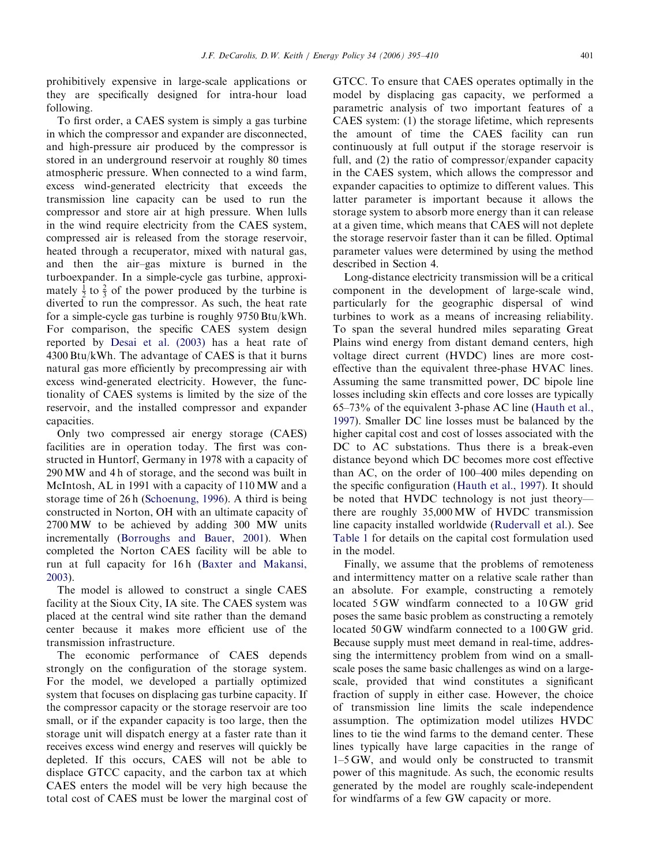prohibitively expensive in large-scale applications or they are specifically designed for intra-hour load following.

To first order, a CAES system is simply a gas turbine in which the compressor and expander are disconnected, and high-pressure air produced by the compressor is stored in an underground reservoir at roughly 80 times atmospheric pressure. When connected to a wind farm, excess wind-generated electricity that exceeds the transmission line capacity can be used to run the compressor and store air at high pressure. When lulls in the wind require electricity from the CAES system, compressed air is released from the storage reservoir, heated through a recuperator, mixed with natural gas, and then the air–gas mixture is burned in the turboexpander. In a simple-cycle gas turbine, approximately  $\frac{1}{2}$  to  $\frac{2}{3}$  of the power produced by the turbine is diverted to run the compressor. As such, the heat rate for a simple-cycle gas turbine is roughly 9750 Btu/kWh. For comparison, the specific CAES system design reported by [Desai et al. \(2003\)](#page-14-0) has a heat rate of 4300 Btu/kWh. The advantage of CAES is that it burns natural gas more efficiently by precompressing air with excess wind-generated electricity. However, the functionality of CAES systems is limited by the size of the reservoir, and the installed compressor and expander capacities.

Only two compressed air energy storage (CAES) facilities are in operation today. The first was constructed in Huntorf, Germany in 1978 with a capacity of 290 MW and 4 h of storage, and the second was built in McIntosh, AL in 1991 with a capacity of 110 MW and a storage time of 26 h [\(Schoenung, 1996\)](#page-15-0). A third is being constructed in Norton, OH with an ultimate capacity of 2700 MW to be achieved by adding 300 MW units incrementally ([Borroughs and Bauer, 2001\)](#page-14-0). When completed the Norton CAES facility will be able to run at full capacity for 16 h [\(Baxter and Makansi,](#page-14-0) [2003](#page-14-0)).

The model is allowed to construct a single CAES facility at the Sioux City, IA site. The CAES system was placed at the central wind site rather than the demand center because it makes more efficient use of the transmission infrastructure.

The economic performance of CAES depends strongly on the configuration of the storage system. For the model, we developed a partially optimized system that focuses on displacing gas turbine capacity. If the compressor capacity or the storage reservoir are too small, or if the expander capacity is too large, then the storage unit will dispatch energy at a faster rate than it receives excess wind energy and reserves will quickly be depleted. If this occurs, CAES will not be able to displace GTCC capacity, and the carbon tax at which CAES enters the model will be very high because the total cost of CAES must be lower the marginal cost of GTCC. To ensure that CAES operates optimally in the model by displacing gas capacity, we performed a parametric analysis of two important features of a CAES system: (1) the storage lifetime, which represents the amount of time the CAES facility can run continuously at full output if the storage reservoir is full, and (2) the ratio of compressor/expander capacity in the CAES system, which allows the compressor and expander capacities to optimize to different values. This latter parameter is important because it allows the storage system to absorb more energy than it can release at a given time, which means that CAES will not deplete the storage reservoir faster than it can be filled. Optimal parameter values were determined by using the method described in Section 4.

Long-distance electricity transmission will be a critical component in the development of large-scale wind, particularly for the geographic dispersal of wind turbines to work as a means of increasing reliability. To span the several hundred miles separating Great Plains wind energy from distant demand centers, high voltage direct current (HVDC) lines are more costeffective than the equivalent three-phase HVAC lines. Assuming the same transmitted power, DC bipole line losses including skin effects and core losses are typically 65–73% of the equivalent 3-phase AC line ([Hauth et al.,](#page-14-0) [1997](#page-14-0)). Smaller DC line losses must be balanced by the higher capital cost and cost of losses associated with the DC to AC substations. Thus there is a break-even distance beyond which DC becomes more cost effective than AC, on the order of 100–400 miles depending on the specific configuration [\(Hauth et al., 1997\)](#page-14-0). It should be noted that HVDC technology is not just theory there are roughly 35,000 MW of HVDC transmission line capacity installed worldwide [\(Rudervall et al.\)](#page-15-0). See [Table 1](#page-5-0) for details on the capital cost formulation used in the model.

Finally, we assume that the problems of remoteness and intermittency matter on a relative scale rather than an absolute. For example, constructing a remotely located 5 GW windfarm connected to a 10 GW grid poses the same basic problem as constructing a remotely located 50 GW windfarm connected to a 100 GW grid. Because supply must meet demand in real-time, addressing the intermittency problem from wind on a smallscale poses the same basic challenges as wind on a largescale, provided that wind constitutes a significant fraction of supply in either case. However, the choice of transmission line limits the scale independence assumption. The optimization model utilizes HVDC lines to tie the wind farms to the demand center. These lines typically have large capacities in the range of 1–5 GW, and would only be constructed to transmit power of this magnitude. As such, the economic results generated by the model are roughly scale-independent for windfarms of a few GW capacity or more.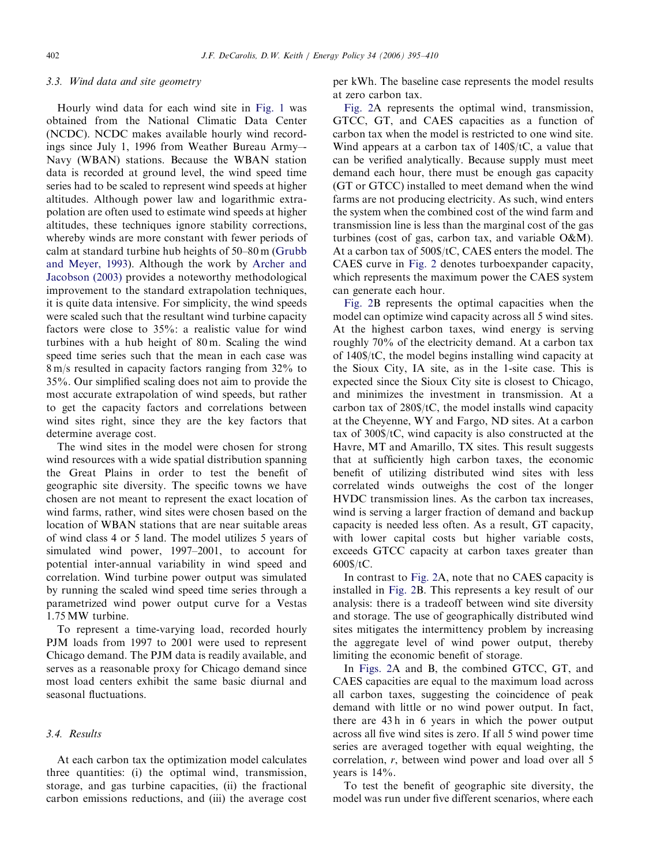#### 3.3. Wind data and site geometry

Hourly wind data for each wind site in [Fig. 1](#page-4-0) was obtained from the National Climatic Data Center (NCDC). NCDC makes available hourly wind recordings since July 1, 1996 from Weather Bureau Army–- Navy (WBAN) stations. Because the WBAN station data is recorded at ground level, the wind speed time series had to be scaled to represent wind speeds at higher altitudes. Although power law and logarithmic extrapolation are often used to estimate wind speeds at higher altitudes, these techniques ignore stability corrections, whereby winds are more constant with fewer periods of calm at standard turbine hub heights of 50–80 m ([Grubb](#page-14-0) [and Meyer, 1993](#page-14-0)). Although the work by [Archer and](#page-14-0) [Jacobson \(2003\)](#page-14-0) provides a noteworthy methodological improvement to the standard extrapolation techniques, it is quite data intensive. For simplicity, the wind speeds were scaled such that the resultant wind turbine capacity factors were close to 35%: a realistic value for wind turbines with a hub height of 80 m. Scaling the wind speed time series such that the mean in each case was 8 m/s resulted in capacity factors ranging from 32% to 35%. Our simplified scaling does not aim to provide the most accurate extrapolation of wind speeds, but rather to get the capacity factors and correlations between wind sites right, since they are the key factors that determine average cost.

The wind sites in the model were chosen for strong wind resources with a wide spatial distribution spanning the Great Plains in order to test the benefit of geographic site diversity. The specific towns we have chosen are not meant to represent the exact location of wind farms, rather, wind sites were chosen based on the location of WBAN stations that are near suitable areas of wind class 4 or 5 land. The model utilizes 5 years of simulated wind power, 1997–2001, to account for potential inter-annual variability in wind speed and correlation. Wind turbine power output was simulated by running the scaled wind speed time series through a parametrized wind power output curve for a Vestas 1.75 MW turbine.

To represent a time-varying load, recorded hourly PJM loads from 1997 to 2001 were used to represent Chicago demand. The PJM data is readily available, and serves as a reasonable proxy for Chicago demand since most load centers exhibit the same basic diurnal and seasonal fluctuations.

# 3.4. Results

At each carbon tax the optimization model calculates three quantities: (i) the optimal wind, transmission, storage, and gas turbine capacities, (ii) the fractional carbon emissions reductions, and (iii) the average cost per kWh. The baseline case represents the model results at zero carbon tax.

[Fig. 2A](#page-8-0) represents the optimal wind, transmission, GTCC, GT, and CAES capacities as a function of carbon tax when the model is restricted to one wind site. Wind appears at a carbon tax of 140\$/tC, a value that can be verified analytically. Because supply must meet demand each hour, there must be enough gas capacity (GT or GTCC) installed to meet demand when the wind farms are not producing electricity. As such, wind enters the system when the combined cost of the wind farm and transmission line is less than the marginal cost of the gas turbines (cost of gas, carbon tax, and variable O&M). At a carbon tax of 500\$/tC, CAES enters the model. The CAES curve in [Fig. 2](#page-8-0) denotes turboexpander capacity, which represents the maximum power the CAES system can generate each hour.

[Fig. 2](#page-8-0)B represents the optimal capacities when the model can optimize wind capacity across all 5 wind sites. At the highest carbon taxes, wind energy is serving roughly 70% of the electricity demand. At a carbon tax of 140\$/tC, the model begins installing wind capacity at the Sioux City, IA site, as in the 1-site case. This is expected since the Sioux City site is closest to Chicago, and minimizes the investment in transmission. At a carbon tax of 280\$/tC, the model installs wind capacity at the Cheyenne, WY and Fargo, ND sites. At a carbon tax of 300\$/tC, wind capacity is also constructed at the Havre, MT and Amarillo, TX sites. This result suggests that at sufficiently high carbon taxes, the economic benefit of utilizing distributed wind sites with less correlated winds outweighs the cost of the longer HVDC transmission lines. As the carbon tax increases, wind is serving a larger fraction of demand and backup capacity is needed less often. As a result, GT capacity, with lower capital costs but higher variable costs, exceeds GTCC capacity at carbon taxes greater than 600\$/tC.

In contrast to [Fig. 2A](#page-8-0), note that no CAES capacity is installed in [Fig. 2B](#page-8-0). This represents a key result of our analysis: there is a tradeoff between wind site diversity and storage. The use of geographically distributed wind sites mitigates the intermittency problem by increasing the aggregate level of wind power output, thereby limiting the economic benefit of storage.

In [Figs. 2A](#page-8-0) and B, the combined GTCC, GT, and CAES capacities are equal to the maximum load across all carbon taxes, suggesting the coincidence of peak demand with little or no wind power output. In fact, there are 43 h in 6 years in which the power output across all five wind sites is zero. If all 5 wind power time series are averaged together with equal weighting, the correlation, r, between wind power and load over all 5 years is 14%.

To test the benefit of geographic site diversity, the model was run under five different scenarios, where each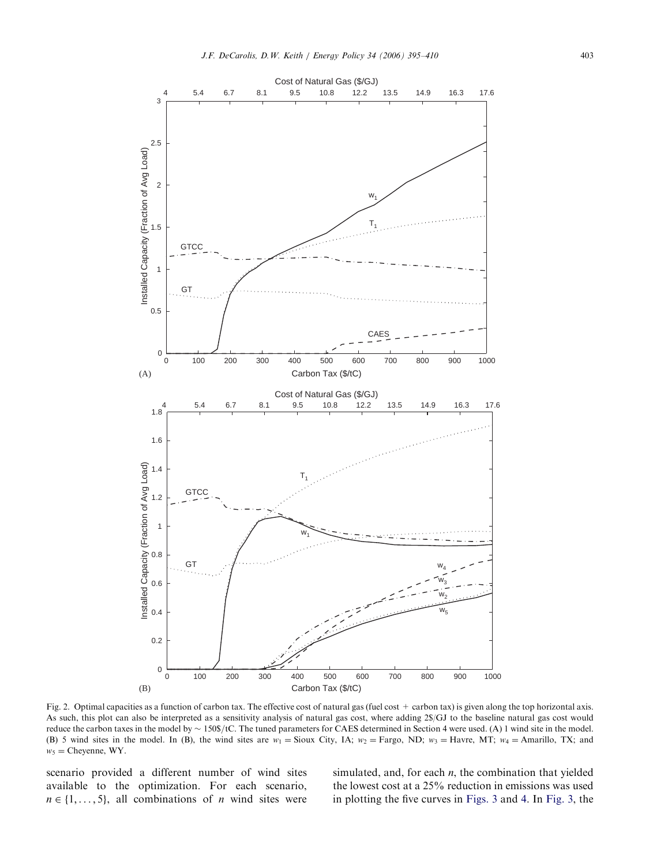<span id="page-8-0"></span>

Fig. 2. Optimal capacities as a function of carbon tax. The effective cost of natural gas (fuel cost  $+$  carbon tax) is given along the top horizontal axis. As such, this plot can also be interpreted as a sensitivity analysis of natural gas cost, where adding 2\$/GJ to the baseline natural gas cost would reduce the carbon taxes in the model by  $\sim 150\frac{\text{S}}{\text{C}}$ . The tuned parameters for CAES determined in Section 4 were used. (A) 1 wind site in the model. (B) 5 wind sites in the model. In (B), the wind sites are  $w_1 =$  Sioux City, IA;  $w_2 =$  Fargo, ND;  $w_3 =$  Havre, MT;  $w_4 =$  Amarillo, TX; and  $w_5$  = Cheyenne, WY.

scenario provided a different number of wind sites available to the optimization. For each scenario,  $n \in \{1, \ldots, 5\}$ , all combinations of n wind sites were simulated, and, for each  $n$ , the combination that yielded the lowest cost at a 25% reduction in emissions was used in plotting the five curves in [Figs. 3](#page-9-0) and [4](#page-10-0). In [Fig. 3,](#page-9-0) the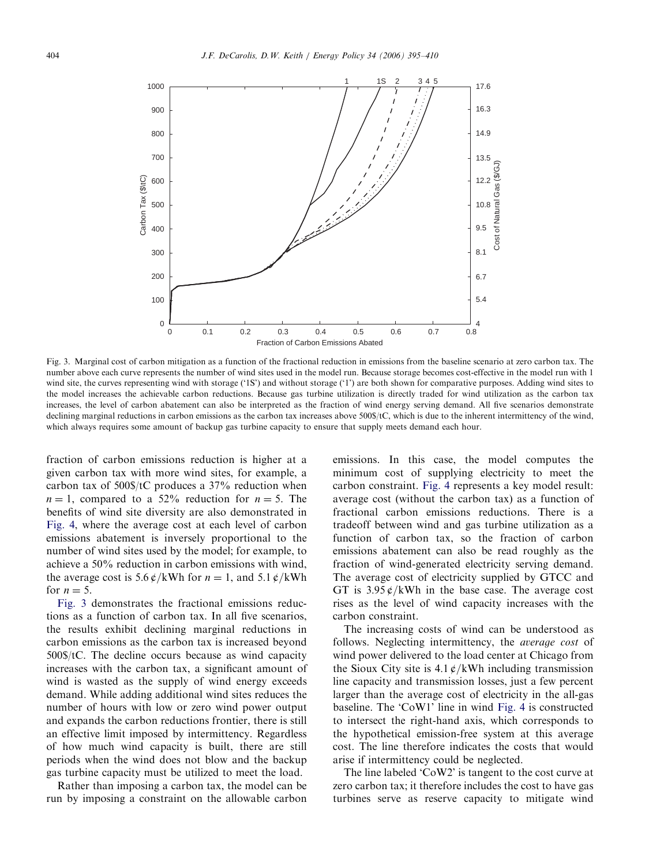<span id="page-9-0"></span>

Fig. 3. Marginal cost of carbon mitigation as a function of the fractional reduction in emissions from the baseline scenario at zero carbon tax. The number above each curve represents the number of wind sites used in the model run. Because storage becomes cost-effective in the model run with 1 wind site, the curves representing wind with storage ('1S') and without storage ('1') are both shown for comparative purposes. Adding wind sites to the model increases the achievable carbon reductions. Because gas turbine utilization is directly traded for wind utilization as the carbon tax increases, the level of carbon abatement can also be interpreted as the fraction of wind energy serving demand. All five scenarios demonstrate declining marginal reductions in carbon emissions as the carbon tax increases above 500\$/tC, which is due to the inherent intermittency of the wind, which always requires some amount of backup gas turbine capacity to ensure that supply meets demand each hour.

fraction of carbon emissions reduction is higher at a given carbon tax with more wind sites, for example, a carbon tax of 500\$/tC produces a 37% reduction when  $n = 1$ , compared to a 52% reduction for  $n = 5$ . The benefits of wind site diversity are also demonstrated in [Fig. 4,](#page-10-0) where the average cost at each level of carbon emissions abatement is inversely proportional to the number of wind sites used by the model; for example, to achieve a 50% reduction in carbon emissions with wind, the average cost is  $5.6 \ell/kWh$  for  $n = 1$ , and  $5.1 \ell/kWh$ for  $n = 5$ .

Fig. 3 demonstrates the fractional emissions reductions as a function of carbon tax. In all five scenarios, the results exhibit declining marginal reductions in carbon emissions as the carbon tax is increased beyond 500\$/tC. The decline occurs because as wind capacity increases with the carbon tax, a significant amount of wind is wasted as the supply of wind energy exceeds demand. While adding additional wind sites reduces the number of hours with low or zero wind power output and expands the carbon reductions frontier, there is still an effective limit imposed by intermittency. Regardless of how much wind capacity is built, there are still periods when the wind does not blow and the backup gas turbine capacity must be utilized to meet the load.

Rather than imposing a carbon tax, the model can be run by imposing a constraint on the allowable carbon

emissions. In this case, the model computes the minimum cost of supplying electricity to meet the carbon constraint. [Fig. 4](#page-10-0) represents a key model result: average cost (without the carbon tax) as a function of fractional carbon emissions reductions. There is a tradeoff between wind and gas turbine utilization as a function of carbon tax, so the fraction of carbon emissions abatement can also be read roughly as the fraction of wind-generated electricity serving demand. The average cost of electricity supplied by GTCC and GT is  $3.95 \frac{\epsilon}{kWh}$  in the base case. The average cost rises as the level of wind capacity increases with the carbon constraint.

The increasing costs of wind can be understood as follows. Neglecting intermittency, the average cost of wind power delivered to the load center at Chicago from the Sioux City site is  $4.1 \frac{\ell}{kWh}$  including transmission line capacity and transmission losses, just a few percent larger than the average cost of electricity in the all-gas baseline. The 'CoW1' line in wind [Fig. 4](#page-10-0) is constructed to intersect the right-hand axis, which corresponds to the hypothetical emission-free system at this average cost. The line therefore indicates the costs that would arise if intermittency could be neglected.

The line labeled 'CoW2' is tangent to the cost curve at zero carbon tax; it therefore includes the cost to have gas turbines serve as reserve capacity to mitigate wind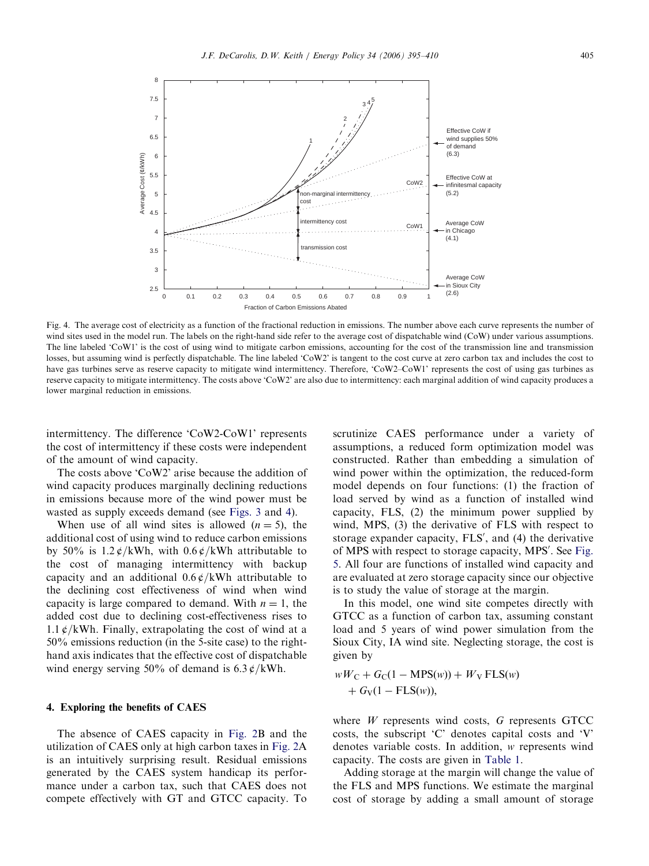<span id="page-10-0"></span>

Fig. 4. The average cost of electricity as a function of the fractional reduction in emissions. The number above each curve represents the number of wind sites used in the model run. The labels on the right-hand side refer to the average cost of dispatchable wind (CoW) under various assumptions. The line labeled 'CoW1' is the cost of using wind to mitigate carbon emissions, accounting for the cost of the transmission line and transmission losses, but assuming wind is perfectly dispatchable. The line labeled 'CoW2' is tangent to the cost curve at zero carbon tax and includes the cost to have gas turbines serve as reserve capacity to mitigate wind intermittency. Therefore, 'CoW2–CoW1' represents the cost of using gas turbines as reserve capacity to mitigate intermittency. The costs above 'CoW2' are also due to intermittency: each marginal addition of wind capacity produces a lower marginal reduction in emissions.

intermittency. The difference 'CoW2-CoW1' represents the cost of intermittency if these costs were independent of the amount of wind capacity.

The costs above 'CoW2' arise because the addition of wind capacity produces marginally declining reductions in emissions because more of the wind power must be wasted as supply exceeds demand (see [Figs. 3](#page-9-0) and 4).

When use of all wind sites is allowed  $(n = 5)$ , the additional cost of using wind to reduce carbon emissions by 50% is  $1.2 \ell$ /kWh, with 0.6 $\ell$ /kWh attributable to the cost of managing intermittency with backup capacity and an additional  $0.6 \notin /kWh$  attributable to the declining cost effectiveness of wind when wind capacity is large compared to demand. With  $n = 1$ , the added cost due to declining cost-effectiveness rises to 1.1 $\frac{\ell}{k}$ Wh. Finally, extrapolating the cost of wind at a 50% emissions reduction (in the 5-site case) to the righthand axis indicates that the effective cost of dispatchable wind energy serving 50% of demand is  $6.3 \ell /kWh$ .

#### 4. Exploring the benefits of CAES

The absence of CAES capacity in [Fig. 2](#page-8-0)B and the utilization of CAES only at high carbon taxes in [Fig. 2A](#page-8-0) is an intuitively surprising result. Residual emissions generated by the CAES system handicap its performance under a carbon tax, such that CAES does not compete effectively with GT and GTCC capacity. To scrutinize CAES performance under a variety of assumptions, a reduced form optimization model was constructed. Rather than embedding a simulation of wind power within the optimization, the reduced-form model depends on four functions: (1) the fraction of load served by wind as a function of installed wind capacity, FLS, (2) the minimum power supplied by wind, MPS, (3) the derivative of FLS with respect to storage expander capacity, FLS', and (4) the derivative of MPS with respect to storage capacity, MPS'. See [Fig.](#page-11-0) [5.](#page-11-0) All four are functions of installed wind capacity and are evaluated at zero storage capacity since our objective is to study the value of storage at the margin.

In this model, one wind site competes directly with GTCC as a function of carbon tax, assuming constant load and 5 years of wind power simulation from the Sioux City, IA wind site. Neglecting storage, the cost is given by

$$
wW_C + G_C(1 - MPS(w)) + W_V FLS(w)
$$
  
+  $G_V(1 - FLS(w)),$ 

where W represents wind costs, G represents GTCC costs, the subscript 'C' denotes capital costs and 'V' denotes variable costs. In addition, w represents wind capacity. The costs are given in [Table 1](#page-5-0).

Adding storage at the margin will change the value of the FLS and MPS functions. We estimate the marginal cost of storage by adding a small amount of storage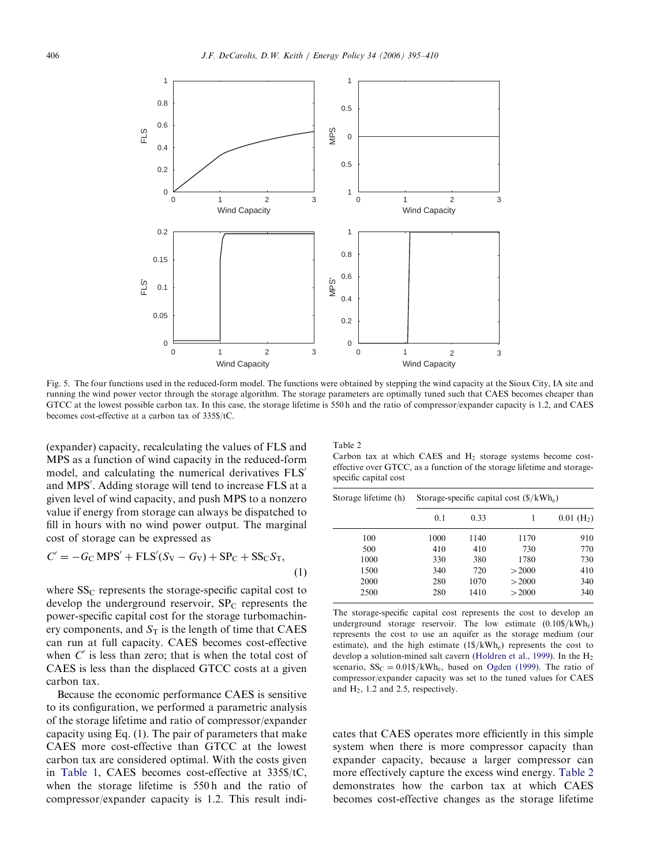<span id="page-11-0"></span>

Fig. 5. The four functions used in the reduced-form model. The functions were obtained by stepping the wind capacity at the Sioux City, IA site and running the wind power vector through the storage algorithm. The storage parameters are optimally tuned such that CAES becomes cheaper than GTCC at the lowest possible carbon tax. In this case, the storage lifetime is 550 h and the ratio of compressor/expander capacity is 1.2, and CAES becomes cost-effective at a carbon tax of 335\$/tC.

(expander) capacity, recalculating the values of FLS and MPS as a function of wind capacity in the reduced-form model, and calculating the numerical derivatives FLS<sup>'</sup> and MPS'. Adding storage will tend to increase FLS at a given level of wind capacity, and push MPS to a nonzero value if energy from storage can always be dispatched to fill in hours with no wind power output. The marginal cost of storage can be expressed as

$$
C' = -GC MPS' + FLS'(SV - GV) + SPC + SSCST,
$$
\n(1)

where  $SS_C$  represents the storage-specific capital cost to develop the underground reservoir,  $SP<sub>C</sub>$  represents the power-specific capital cost for the storage turbomachinery components, and  $S_T$  is the length of time that CAES can run at full capacity. CAES becomes cost-effective when  $C'$  is less than zero; that is when the total cost of CAES is less than the displaced GTCC costs at a given carbon tax.

Because the economic performance CAES is sensitive to its configuration, we performed a parametric analysis of the storage lifetime and ratio of compressor/expander capacity using Eq. (1). The pair of parameters that make CAES more cost-effective than GTCC at the lowest carbon tax are considered optimal. With the costs given in [Table 1](#page-5-0), CAES becomes cost-effective at 335\$/tC, when the storage lifetime is 550 h and the ratio of compressor/expander capacity is 1.2. This result indiTable 2

Carbon tax at which CAES and  $H_2$  storage systems become costeffective over GTCC, as a function of the storage lifetime and storagespecific capital cost

| Storage lifetime (h) | Storage-specific capital cost $(\frac{C}{kWh_e})$ |      |       |                          |  |  |
|----------------------|---------------------------------------------------|------|-------|--------------------------|--|--|
|                      | 0.1                                               | 0.33 |       | $0.01$ (H <sub>2</sub> ) |  |  |
| 100                  | 1000                                              | 1140 | 1170  | 910                      |  |  |
| 500                  | 410                                               | 410  | 730   | 770                      |  |  |
| 1000                 | 330                                               | 380  | 1780  | 730                      |  |  |
| 1500                 | 340                                               | 720  | >2000 | 410                      |  |  |
| 2000                 | 280                                               | 1070 | >2000 | 340                      |  |  |
| 2500                 | 280                                               | 1410 | >2000 | 340                      |  |  |

The storage-specific capital cost represents the cost to develop an underground storage reservoir. The low estimate  $(0.10\$/kWh_e)$ represents the cost to use an aquifer as the storage medium (our estimate), and the high estimate  $(1\$/kWh_e)$  represents the cost to develop a solution-mined salt cavern [\(Holdren et al., 1999\)](#page-14-0). In the  $H_2$ scenario,  $SS_C = 0.01\$/kWh_e$ , based on [Ogden \(1999\)](#page-15-0). The ratio of compressor/expander capacity was set to the tuned values for CAES and  $H_2$ , 1.2 and 2.5, respectively.

cates that CAES operates more efficiently in this simple system when there is more compressor capacity than expander capacity, because a larger compressor can more effectively capture the excess wind energy. Table 2 demonstrates how the carbon tax at which CAES becomes cost-effective changes as the storage lifetime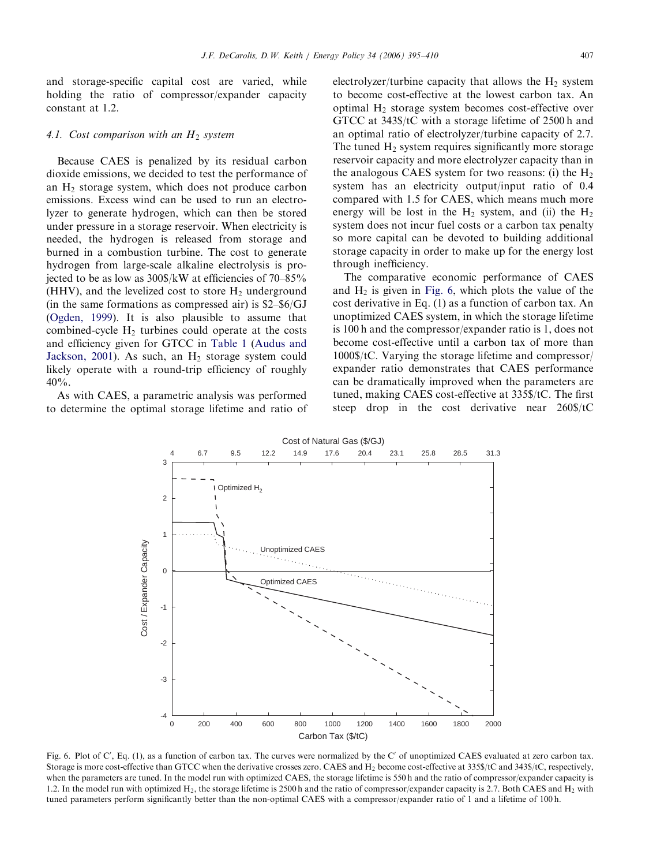<span id="page-12-0"></span>and storage-specific capital cost are varied, while holding the ratio of compressor/expander capacity constant at 1.2.

# 4.1. Cost comparison with an  $H_2$  system

Because CAES is penalized by its residual carbon dioxide emissions, we decided to test the performance of an  $H<sub>2</sub>$  storage system, which does not produce carbon emissions. Excess wind can be used to run an electrolyzer to generate hydrogen, which can then be stored under pressure in a storage reservoir. When electricity is needed, the hydrogen is released from storage and burned in a combustion turbine. The cost to generate hydrogen from large-scale alkaline electrolysis is projected to be as low as 300\$/kW at efficiencies of 70–85% (HHV), and the levelized cost to store  $H_2$  underground (in the same formations as compressed air) is \$2–\$6/GJ ([Ogden, 1999](#page-15-0)). It is also plausible to assume that combined-cycle  $H_2$  turbines could operate at the costs and efficiency given for GTCC in [Table 1](#page-5-0) ([Audus and](#page-14-0) [Jackson, 2001\)](#page-14-0). As such, an H<sub>2</sub> storage system could likely operate with a round-trip efficiency of roughly 40%.

As with CAES, a parametric analysis was performed to determine the optimal storage lifetime and ratio of electrolyzer/turbine capacity that allows the  $H_2$  system to become cost-effective at the lowest carbon tax. An optimal H2 storage system becomes cost-effective over GTCC at 343\$/tC with a storage lifetime of 2500 h and an optimal ratio of electrolyzer/turbine capacity of 2.7. The tuned  $H_2$  system requires significantly more storage reservoir capacity and more electrolyzer capacity than in the analogous CAES system for two reasons: (i) the  $H_2$ system has an electricity output/input ratio of 0.4 compared with 1.5 for CAES, which means much more energy will be lost in the  $H_2$  system, and (ii) the  $H_2$ system does not incur fuel costs or a carbon tax penalty so more capital can be devoted to building additional storage capacity in order to make up for the energy lost through inefficiency.

The comparative economic performance of CAES and  $H_2$  is given in Fig. 6, which plots the value of the cost derivative in Eq. (1) as a function of carbon tax. An unoptimized CAES system, in which the storage lifetime is 100 h and the compressor/expander ratio is 1, does not become cost-effective until a carbon tax of more than 1000\$/tC. Varying the storage lifetime and compressor/ expander ratio demonstrates that CAES performance can be dramatically improved when the parameters are tuned, making CAES cost-effective at 335\$/tC. The first steep drop in the cost derivative near  $260\frac{\text{C}}{\text{C}}$ 



Fig. 6. Plot of C', Eq. (1), as a function of carbon tax. The curves were normalized by the C' of unoptimized CAES evaluated at zero carbon tax. Storage is more cost-effective than GTCC when the derivative crosses zero. CAES and H<sub>2</sub> become cost-effective at 335\$/tC and 343\$/tC, respectively, when the parameters are tuned. In the model run with optimized CAES, the storage lifetime is 550 h and the ratio of compressor/expander capacity is 1.2. In the model run with optimized H<sub>2</sub>, the storage lifetime is 2500 h and the ratio of compressor/expander capacity is 2.7. Both CAES and H<sub>2</sub> with tuned parameters perform significantly better than the non-optimal CAES with a compressor/expander ratio of 1 and a lifetime of 100 h.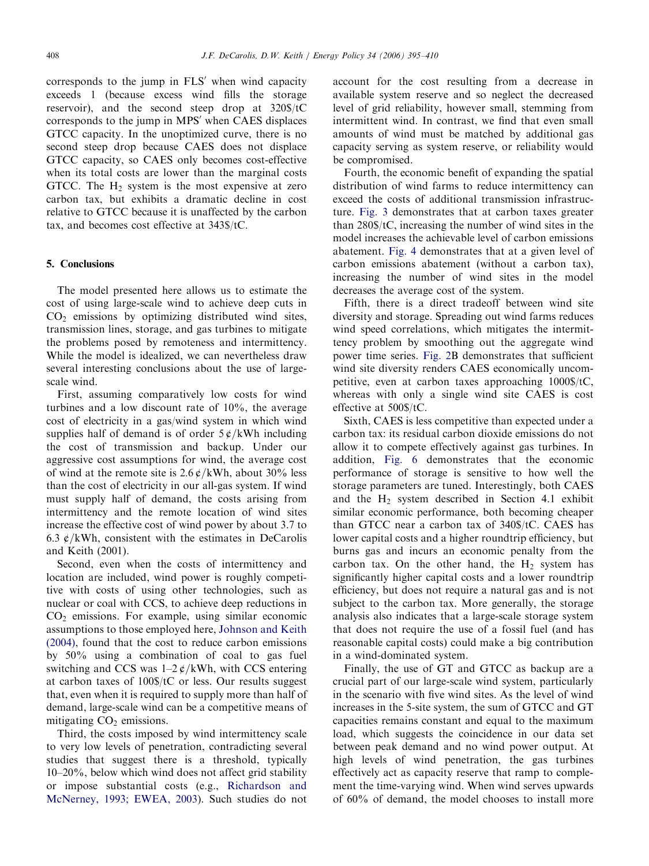corresponds to the jump in  $FLS'$  when wind capacity exceeds 1 (because excess wind fills the storage reservoir), and the second steep drop at  $320\frac{5}{t}$ C corresponds to the jump in MPS' when CAES displaces GTCC capacity. In the unoptimized curve, there is no second steep drop because CAES does not displace GTCC capacity, so CAES only becomes cost-effective when its total costs are lower than the marginal costs GTCC. The  $H<sub>2</sub>$  system is the most expensive at zero carbon tax, but exhibits a dramatic decline in cost relative to GTCC because it is unaffected by the carbon tax, and becomes cost effective at 343\$/tC.

#### 5. Conclusions

The model presented here allows us to estimate the cost of using large-scale wind to achieve deep cuts in  $CO<sub>2</sub>$  emissions by optimizing distributed wind sites, transmission lines, storage, and gas turbines to mitigate the problems posed by remoteness and intermittency. While the model is idealized, we can nevertheless draw several interesting conclusions about the use of largescale wind.

First, assuming comparatively low costs for wind turbines and a low discount rate of 10%, the average cost of electricity in a gas/wind system in which wind supplies half of demand is of order  $5 \frac{\cancel{e}}{kWh}$  including the cost of transmission and backup. Under our aggressive cost assumptions for wind, the average cost of wind at the remote site is  $2.6 \frac{\epsilon}{kWh}$ , about 30% less than the cost of electricity in our all-gas system. If wind must supply half of demand, the costs arising from intermittency and the remote location of wind sites increase the effective cost of wind power by about 3.7 to 6.3  $\phi$ /kWh, consistent with the estimates in DeCarolis and Keith (2001).

Second, even when the costs of intermittency and location are included, wind power is roughly competitive with costs of using other technologies, such as nuclear or coal with CCS, to achieve deep reductions in  $CO<sub>2</sub>$  emissions. For example, using similar economic assumptions to those employed here, [Johnson and Keith](#page-14-0) [\(2004\)](#page-14-0), found that the cost to reduce carbon emissions by 50% using a combination of coal to gas fuel switching and CCS was  $1-2 \phi/kWh$ , with CCS entering at carbon taxes of 100\$/tC or less. Our results suggest that, even when it is required to supply more than half of demand, large-scale wind can be a competitive means of mitigating  $CO<sub>2</sub>$  emissions.

Third, the costs imposed by wind intermittency scale to very low levels of penetration, contradicting several studies that suggest there is a threshold, typically 10–20%, below which wind does not affect grid stability or impose substantial costs (e.g., [Richardson and](#page-15-0) [McNerney, 1993; EWEA, 2003](#page-15-0)). Such studies do not

account for the cost resulting from a decrease in available system reserve and so neglect the decreased level of grid reliability, however small, stemming from intermittent wind. In contrast, we find that even small amounts of wind must be matched by additional gas capacity serving as system reserve, or reliability would be compromised.

Fourth, the economic benefit of expanding the spatial distribution of wind farms to reduce intermittency can exceed the costs of additional transmission infrastructure. [Fig. 3](#page-9-0) demonstrates that at carbon taxes greater than 280\$/tC, increasing the number of wind sites in the model increases the achievable level of carbon emissions abatement. [Fig. 4](#page-10-0) demonstrates that at a given level of carbon emissions abatement (without a carbon tax), increasing the number of wind sites in the model decreases the average cost of the system.

Fifth, there is a direct tradeoff between wind site diversity and storage. Spreading out wind farms reduces wind speed correlations, which mitigates the intermittency problem by smoothing out the aggregate wind power time series. [Fig. 2B](#page-8-0) demonstrates that sufficient wind site diversity renders CAES economically uncompetitive, even at carbon taxes approaching 1000\$/tC, whereas with only a single wind site CAES is cost effective at 500\$/tC.

Sixth, CAES is less competitive than expected under a carbon tax: its residual carbon dioxide emissions do not allow it to compete effectively against gas turbines. In addition, [Fig. 6](#page-12-0) demonstrates that the economic performance of storage is sensitive to how well the storage parameters are tuned. Interestingly, both CAES and the  $H_2$  system described in Section 4.1 exhibit similar economic performance, both becoming cheaper than GTCC near a carbon tax of 340\$/tC. CAES has lower capital costs and a higher roundtrip efficiency, but burns gas and incurs an economic penalty from the carbon tax. On the other hand, the  $H<sub>2</sub>$  system has significantly higher capital costs and a lower roundtrip efficiency, but does not require a natural gas and is not subject to the carbon tax. More generally, the storage analysis also indicates that a large-scale storage system that does not require the use of a fossil fuel (and has reasonable capital costs) could make a big contribution in a wind-dominated system.

Finally, the use of GT and GTCC as backup are a crucial part of our large-scale wind system, particularly in the scenario with five wind sites. As the level of wind increases in the 5-site system, the sum of GTCC and GT capacities remains constant and equal to the maximum load, which suggests the coincidence in our data set between peak demand and no wind power output. At high levels of wind penetration, the gas turbines effectively act as capacity reserve that ramp to complement the time-varying wind. When wind serves upwards of 60% of demand, the model chooses to install more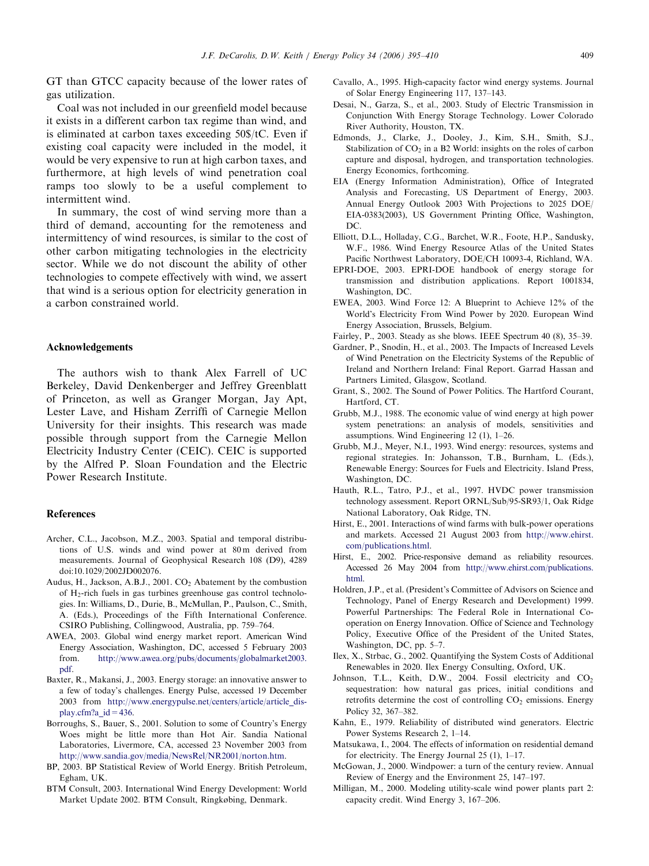<span id="page-14-0"></span>GT than GTCC capacity because of the lower rates of gas utilization.

Coal was not included in our greenfield model because it exists in a different carbon tax regime than wind, and is eliminated at carbon taxes exceeding 50\$/tC. Even if existing coal capacity were included in the model, it would be very expensive to run at high carbon taxes, and furthermore, at high levels of wind penetration coal ramps too slowly to be a useful complement to intermittent wind.

In summary, the cost of wind serving more than a third of demand, accounting for the remoteness and intermittency of wind resources, is similar to the cost of other carbon mitigating technologies in the electricity sector. While we do not discount the ability of other technologies to compete effectively with wind, we assert that wind is a serious option for electricity generation in a carbon constrained world.

# Acknowledgements

The authors wish to thank Alex Farrell of UC Berkeley, David Denkenberger and Jeffrey Greenblatt of Princeton, as well as Granger Morgan, Jay Apt, Lester Lave, and Hisham Zerriffi of Carnegie Mellon University for their insights. This research was made possible through support from the Carnegie Mellon Electricity Industry Center (CEIC). CEIC is supported by the Alfred P. Sloan Foundation and the Electric Power Research Institute.

#### References

- Archer, C.L., Jacobson, M.Z., 2003. Spatial and temporal distributions of U.S. winds and wind power at 80m derived from measurements. Journal of Geophysical Research 108 (D9), 4289 doi:10.1029/2002JD002076.
- Audus, H., Jackson, A.B.J., 2001. CO<sub>2</sub> Abatement by the combustion of H2-rich fuels in gas turbines greenhouse gas control technologies. In: Williams, D., Durie, B., McMullan, P., Paulson, C., Smith, A. (Eds.), Proceedings of the Fifth International Conference. CSIRO Publishing, Collingwood, Australia, pp. 759–764.
- AWEA, 2003. Global wind energy market report. American Wind Energy Association, Washington, DC, accessed 5 February 2003 from. [http://www.awea.org/pubs/documents/globalmarket2003.](http://www.awea.org/pubs/documents/globalmarket2003.pdf) [pdf.](http://www.awea.org/pubs/documents/globalmarket2003.pdf)
- Baxter, R., Makansi, J., 2003. Energy storage: an innovative answer to a few of today's challenges. Energy Pulse, accessed 19 December 2003 from [http://www.energypulse.net/centers/article/article\\_dis](http://www.energypulse.net/centers/article/articledisplay.cfm?aid=436)[play.cfm?a\\_id=436](http://www.energypulse.net/centers/article/articledisplay.cfm?aid=436).
- Borroughs, S., Bauer, S., 2001. Solution to some of Country's Energy Woes might be little more than Hot Air. Sandia National Laboratories, Livermore, CA, accessed 23 November 2003 from [http://www.sandia.gov/media/NewsRel/NR2001/norton.htm.](http://www.sandia.gov/media/NewsRel/NR2001/norton.htm)
- BP, 2003. BP Statistical Review of World Energy. British Petroleum, Egham, UK.
- BTM Consult, 2003. International Wind Energy Development: World Market Update 2002. BTM Consult, Ringkøbing, Denmark.
- Cavallo, A., 1995. High-capacity factor wind energy systems. Journal of Solar Energy Engineering 117, 137–143.
- Desai, N., Garza, S., et al., 2003. Study of Electric Transmission in Conjunction With Energy Storage Technology. Lower Colorado River Authority, Houston, TX.
- Edmonds, J., Clarke, J., Dooley, J., Kim, S.H., Smith, S.J., Stabilization of  $CO<sub>2</sub>$  in a B2 World: insights on the roles of carbon capture and disposal, hydrogen, and transportation technologies. Energy Economics, forthcoming.
- EIA (Energy Information Administration), Office of Integrated Analysis and Forecasting, US Department of Energy, 2003. Annual Energy Outlook 2003 With Projections to 2025 DOE/ EIA-0383(2003), US Government Printing Office, Washington, DC.
- Elliott, D.L., Holladay, C.G., Barchet, W.R., Foote, H.P., Sandusky, W.F., 1986. Wind Energy Resource Atlas of the United States Pacific Northwest Laboratory, DOE/CH 10093-4, Richland, WA.
- EPRI-DOE, 2003. EPRI-DOE handbook of energy storage for transmission and distribution applications. Report 1001834, Washington, DC.
- EWEA, 2003. Wind Force 12: A Blueprint to Achieve 12% of the World's Electricity From Wind Power by 2020. European Wind Energy Association, Brussels, Belgium.
- Fairley, P., 2003. Steady as she blows. IEEE Spectrum 40 (8), 35–39.
- Gardner, P., Snodin, H., et al., 2003. The Impacts of Increased Levels of Wind Penetration on the Electricity Systems of the Republic of Ireland and Northern Ireland: Final Report. Garrad Hassan and Partners Limited, Glasgow, Scotland.
- Grant, S., 2002. The Sound of Power Politics. The Hartford Courant, Hartford, CT.
- Grubb, M.J., 1988. The economic value of wind energy at high power system penetrations: an analysis of models, sensitivities and assumptions. Wind Engineering 12 (1), 1–26.
- Grubb, M.J., Meyer, N.I., 1993. Wind energy: resources, systems and regional strategies. In: Johansson, T.B., Burnham, L. (Eds.), Renewable Energy: Sources for Fuels and Electricity. Island Press, Washington, DC.
- Hauth, R.L., Tatro, P.J., et al., 1997. HVDC power transmission technology assessment. Report ORNL/Sub/95-SR93/1, Oak Ridge National Laboratory, Oak Ridge, TN.
- Hirst, E., 2001. Interactions of wind farms with bulk-power operations and markets. Accessed 21 August 2003 from [http://www.ehirst.](http://www.ehirst.com/publications.html) [com/publications.html.](http://www.ehirst.com/publications.html)
- Hirst, E., 2002. Price-responsive demand as reliability resources. Accessed 26 May 2004 from [http://www.ehirst.com/publications.](http://www.ehirst.com/publications.html) [html.](http://www.ehirst.com/publications.html)
- Holdren, J.P., et al. (President's Committee of Advisors on Science and Technology, Panel of Energy Research and Development) 1999. Powerful Partnerships: The Federal Role in International Cooperation on Energy Innovation. Office of Science and Technology Policy, Executive Office of the President of the United States, Washington, DC, pp. 5–7.
- Ilex, X., Strbac, G., 2002. Quantifying the System Costs of Additional Renewables in 2020. Ilex Energy Consulting, Oxford, UK.
- Johnson, T.L., Keith, D.W., 2004. Fossil electricity and  $CO<sub>2</sub>$ sequestration: how natural gas prices, initial conditions and retrofits determine the cost of controlling  $CO<sub>2</sub>$  emissions. Energy Policy 32, 367–382.
- Kahn, E., 1979. Reliability of distributed wind generators. Electric Power Systems Research 2, 1–14.
- Matsukawa, I., 2004. The effects of information on residential demand for electricity. The Energy Journal 25 (1), 1–17.
- McGowan, J., 2000. Windpower: a turn of the century review. Annual Review of Energy and the Environment 25, 147–197.
- Milligan, M., 2000. Modeling utility-scale wind power plants part 2: capacity credit. Wind Energy 3, 167–206.